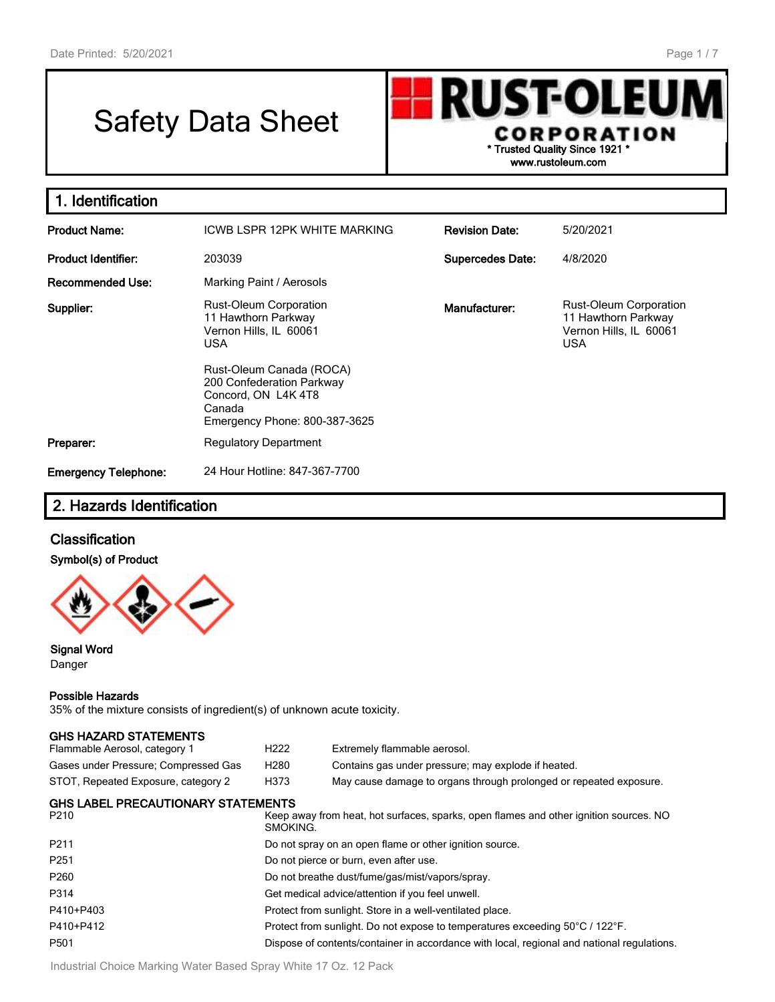# Safety Data Sheet

**RUST-OLEU** CORPORATION **\* Trusted Quality Since 1921 \***

**www.rustoleum.com**

| 1. Identification                    |                                                                                                                         |                                                                                              |           |  |
|--------------------------------------|-------------------------------------------------------------------------------------------------------------------------|----------------------------------------------------------------------------------------------|-----------|--|
| <b>Product Name:</b>                 | ICWB LSPR 12PK WHITE MARKING                                                                                            | <b>Revision Date:</b>                                                                        | 5/20/2021 |  |
| <b>Product Identifier:</b><br>203039 |                                                                                                                         | <b>Supercedes Date:</b>                                                                      | 4/8/2020  |  |
| <b>Recommended Use:</b>              | Marking Paint / Aerosols                                                                                                |                                                                                              |           |  |
| Supplier:                            | <b>Rust-Oleum Corporation</b><br>11 Hawthorn Parkway<br>Vernon Hills, IL 60061<br><b>USA</b>                            | <b>Rust-Oleum Corporation</b><br>11 Hawthorn Parkway<br>Vernon Hills, IL 60061<br><b>USA</b> |           |  |
|                                      | Rust-Oleum Canada (ROCA)<br>200 Confederation Parkway<br>Concord, ON L4K 4T8<br>Canada<br>Emergency Phone: 800-387-3625 |                                                                                              |           |  |
| Preparer:                            | <b>Regulatory Department</b>                                                                                            |                                                                                              |           |  |
| <b>Emergency Telephone:</b>          | 24 Hour Hotline: 847-367-7700                                                                                           |                                                                                              |           |  |

## **2. Hazards Identification**

### **Classification**

#### **Symbol(s) of Product**



#### **Signal Word** Danger

#### **Possible Hazards**

35% of the mixture consists of ingredient(s) of unknown acute toxicity.

| <b>GHS HAZARD STATEMENTS</b><br>Flammable Aerosol, category 1 | H <sub>222</sub> | Extremely flammable aerosol.                                                               |  |  |
|---------------------------------------------------------------|------------------|--------------------------------------------------------------------------------------------|--|--|
| Gases under Pressure; Compressed Gas                          | H <sub>280</sub> | Contains gas under pressure; may explode if heated.                                        |  |  |
| STOT, Repeated Exposure, category 2                           | H373             | May cause damage to organs through prolonged or repeated exposure.                         |  |  |
| <b>GHS LABEL PRECAUTIONARY STATEMENTS</b><br>P210             | SMOKING.         | Keep away from heat, hot surfaces, sparks, open flames and other ignition sources. NO      |  |  |
| P211                                                          |                  | Do not spray on an open flame or other ignition source.                                    |  |  |
| P <sub>251</sub>                                              |                  | Do not pierce or burn, even after use.                                                     |  |  |
| P260                                                          |                  | Do not breathe dust/fume/gas/mist/vapors/spray.                                            |  |  |
| P314                                                          |                  | Get medical advice/attention if you feel unwell.                                           |  |  |
| P410+P403                                                     |                  | Protect from sunlight. Store in a well-ventilated place.                                   |  |  |
| P410+P412                                                     |                  | Protect from sunlight. Do not expose to temperatures exceeding 50°C / 122°F.               |  |  |
| P501                                                          |                  | Dispose of contents/container in accordance with local, regional and national regulations. |  |  |

Industrial Choice Marking Water Based Spray White 17 Oz. 12 Pack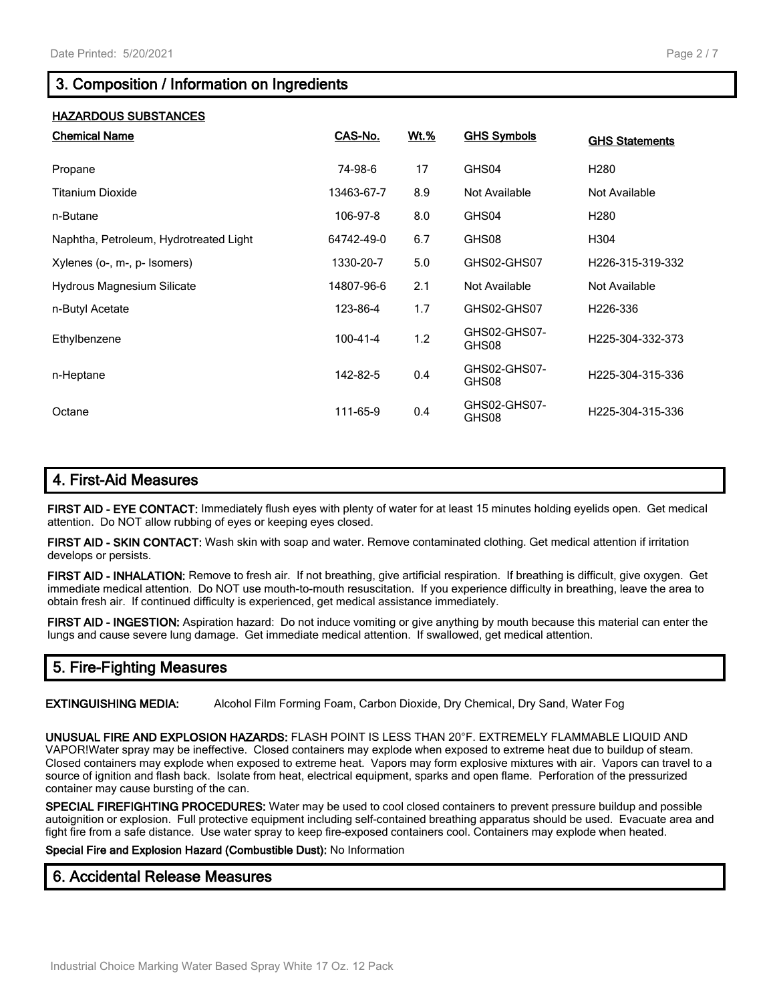### **3. Composition / Information on Ingredients**

 $\overline{7}$ 

| <b>HAZARDOUS SUBSTANCES</b>            |                |             |                       |                       |  |  |  |
|----------------------------------------|----------------|-------------|-----------------------|-----------------------|--|--|--|
| <b>Chemical Name</b>                   | CAS-No.        | <u>Wt.%</u> | <b>GHS Symbols</b>    | <b>GHS Statements</b> |  |  |  |
| Propane                                | 74-98-6        | 17          | GHS04                 | H <sub>280</sub>      |  |  |  |
| <b>Titanium Dioxide</b>                | 13463-67-7     | 8.9         | Not Available         | Not Available         |  |  |  |
| n-Butane                               | 106-97-8       | 8.0         | GHS04                 | H <sub>280</sub>      |  |  |  |
| Naphtha, Petroleum, Hydrotreated Light | 64742-49-0     | 6.7         | GHS08                 | H304                  |  |  |  |
| Xylenes (o-, m-, p- Isomers)           | 1330-20-7      | 5.0         | GHS02-GHS07           | H226-315-319-332      |  |  |  |
| Hydrous Magnesium Silicate             | 14807-96-6     | 2.1         | Not Available         | Not Available         |  |  |  |
| n-Butyl Acetate                        | 123-86-4       | 1.7         | GHS02-GHS07           | H226-336              |  |  |  |
| Ethylbenzene                           | $100 - 41 - 4$ | 1.2         | GHS02-GHS07-<br>GHS08 | H225-304-332-373      |  |  |  |
| n-Heptane                              | 142-82-5       | 0.4         | GHS02-GHS07-<br>GHS08 | H225-304-315-336      |  |  |  |
| Octane                                 | 111-65-9       | 0.4         | GHS02-GHS07-<br>GHS08 | H225-304-315-336      |  |  |  |

### **4. First-Aid Measures**

**FIRST AID - EYE CONTACT:** Immediately flush eyes with plenty of water for at least 15 minutes holding eyelids open. Get medical attention. Do NOT allow rubbing of eyes or keeping eyes closed.

**FIRST AID - SKIN CONTACT:** Wash skin with soap and water. Remove contaminated clothing. Get medical attention if irritation develops or persists.

**FIRST AID - INHALATION:** Remove to fresh air. If not breathing, give artificial respiration. If breathing is difficult, give oxygen. Get immediate medical attention. Do NOT use mouth-to-mouth resuscitation. If you experience difficulty in breathing, leave the area to obtain fresh air. If continued difficulty is experienced, get medical assistance immediately.

**FIRST AID - INGESTION:** Aspiration hazard: Do not induce vomiting or give anything by mouth because this material can enter the lungs and cause severe lung damage. Get immediate medical attention. If swallowed, get medical attention.

### **5. Fire-Fighting Measures**

**EXTINGUISHING MEDIA:** Alcohol Film Forming Foam, Carbon Dioxide, Dry Chemical, Dry Sand, Water Fog

**UNUSUAL FIRE AND EXPLOSION HAZARDS:** FLASH POINT IS LESS THAN 20°F. EXTREMELY FLAMMABLE LIQUID AND VAPOR!Water spray may be ineffective. Closed containers may explode when exposed to extreme heat due to buildup of steam. Closed containers may explode when exposed to extreme heat. Vapors may form explosive mixtures with air. Vapors can travel to a source of ignition and flash back. Isolate from heat, electrical equipment, sparks and open flame. Perforation of the pressurized container may cause bursting of the can.

**SPECIAL FIREFIGHTING PROCEDURES:** Water may be used to cool closed containers to prevent pressure buildup and possible autoignition or explosion. Full protective equipment including self-contained breathing apparatus should be used. Evacuate area and fight fire from a safe distance. Use water spray to keep fire-exposed containers cool. Containers may explode when heated.

#### **Special Fire and Explosion Hazard (Combustible Dust):** No Information

#### **6. Accidental Release Measures**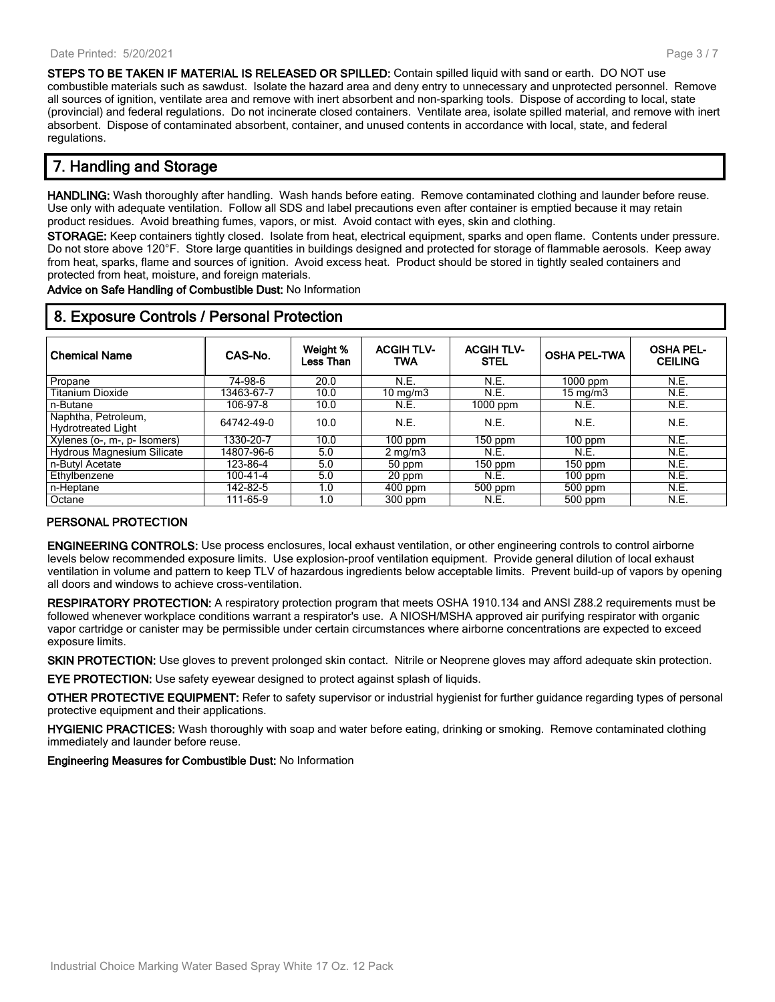**STEPS TO BE TAKEN IF MATERIAL IS RELEASED OR SPILLED:** Contain spilled liquid with sand or earth. DO NOT use combustible materials such as sawdust. Isolate the hazard area and deny entry to unnecessary and unprotected personnel. Remove all sources of ignition, ventilate area and remove with inert absorbent and non-sparking tools. Dispose of according to local, state (provincial) and federal regulations. Do not incinerate closed containers. Ventilate area, isolate spilled material, and remove with inert absorbent. Dispose of contaminated absorbent, container, and unused contents in accordance with local, state, and federal regulations.

### **7. Handling and Storage**

**HANDLING:** Wash thoroughly after handling. Wash hands before eating. Remove contaminated clothing and launder before reuse. Use only with adequate ventilation. Follow all SDS and label precautions even after container is emptied because it may retain product residues. Avoid breathing fumes, vapors, or mist. Avoid contact with eyes, skin and clothing.

**STORAGE:** Keep containers tightly closed. Isolate from heat, electrical equipment, sparks and open flame. Contents under pressure. Do not store above 120°F. Store large quantities in buildings designed and protected for storage of flammable aerosols. Keep away from heat, sparks, flame and sources of ignition. Avoid excess heat. Product should be stored in tightly sealed containers and protected from heat, moisture, and foreign materials.

**Advice on Safe Handling of Combustible Dust:** No Information

| 8. Exposure Controls / Personal Protection       |            |                       |                                 |                                  |                     |                                    |  |
|--------------------------------------------------|------------|-----------------------|---------------------------------|----------------------------------|---------------------|------------------------------------|--|
| <b>Chemical Name</b>                             | CAS-No.    | Weight %<br>Less Than | <b>ACGIH TLV-</b><br><b>TWA</b> | <b>ACGIH TLV-</b><br><b>STEL</b> | <b>OSHA PEL-TWA</b> | <b>OSHA PEL-</b><br><b>CEILING</b> |  |
| Propane                                          | 74-98-6    | 20.0                  | N.E.                            | N.E.                             | 1000 ppm            | N.E.                               |  |
| <b>Titanium Dioxide</b>                          | 13463-67-7 | 10.0                  | $10 \text{ mg/m}$               | N.E.                             | $15 \text{ mg/m}$   | N.E.                               |  |
| n-Butane                                         | 106-97-8   | 10.0                  | N.E.                            | $1000$ ppm                       | N.E.                | N.E.                               |  |
| Naphtha, Petroleum,<br><b>Hydrotreated Light</b> | 64742-49-0 | 10.0                  | N.E.                            | N.E.                             | N.E.                | N.E.                               |  |
| Xylenes (o-, m-, p- Isomers)                     | 1330-20-7  | 10.0                  | $100$ ppm                       | $150$ ppm                        | $100$ ppm           | N.E.                               |  |
| <b>Hydrous Magnesium Silicate</b>                | 14807-96-6 | 5.0                   | $2 \text{ mg/m}$                | N.E.                             | N.E.                | N.E.                               |  |
| n-Butyl Acetate                                  | 123-86-4   | 5.0                   | 50 ppm                          | $150$ ppm                        | $150$ ppm           | N.E.                               |  |
| Ethylbenzene                                     | 100-41-4   | 5.0                   | 20 ppm                          | N.E.                             | $100$ ppm           | N.E.                               |  |
| n-Heptane                                        | 142-82-5   | 1.0                   | $400$ ppm                       | 500 ppm                          | $500$ ppm           | N.E.                               |  |
| Octane                                           | 111-65-9   | 1.0                   | $300$ ppm                       | N.E.                             | 500 ppm             | N.E.                               |  |

#### **PERSONAL PROTECTION**

**ENGINEERING CONTROLS:** Use process enclosures, local exhaust ventilation, or other engineering controls to control airborne levels below recommended exposure limits. Use explosion-proof ventilation equipment. Provide general dilution of local exhaust ventilation in volume and pattern to keep TLV of hazardous ingredients below acceptable limits. Prevent build-up of vapors by opening all doors and windows to achieve cross-ventilation.

**RESPIRATORY PROTECTION:** A respiratory protection program that meets OSHA 1910.134 and ANSI Z88.2 requirements must be followed whenever workplace conditions warrant a respirator's use. A NIOSH/MSHA approved air purifying respirator with organic vapor cartridge or canister may be permissible under certain circumstances where airborne concentrations are expected to exceed exposure limits.

**SKIN PROTECTION:** Use gloves to prevent prolonged skin contact. Nitrile or Neoprene gloves may afford adequate skin protection.

**EYE PROTECTION:** Use safety eyewear designed to protect against splash of liquids.

**OTHER PROTECTIVE EQUIPMENT:** Refer to safety supervisor or industrial hygienist for further guidance regarding types of personal protective equipment and their applications.

**HYGIENIC PRACTICES:** Wash thoroughly with soap and water before eating, drinking or smoking. Remove contaminated clothing immediately and launder before reuse.

**Engineering Measures for Combustible Dust:** No Information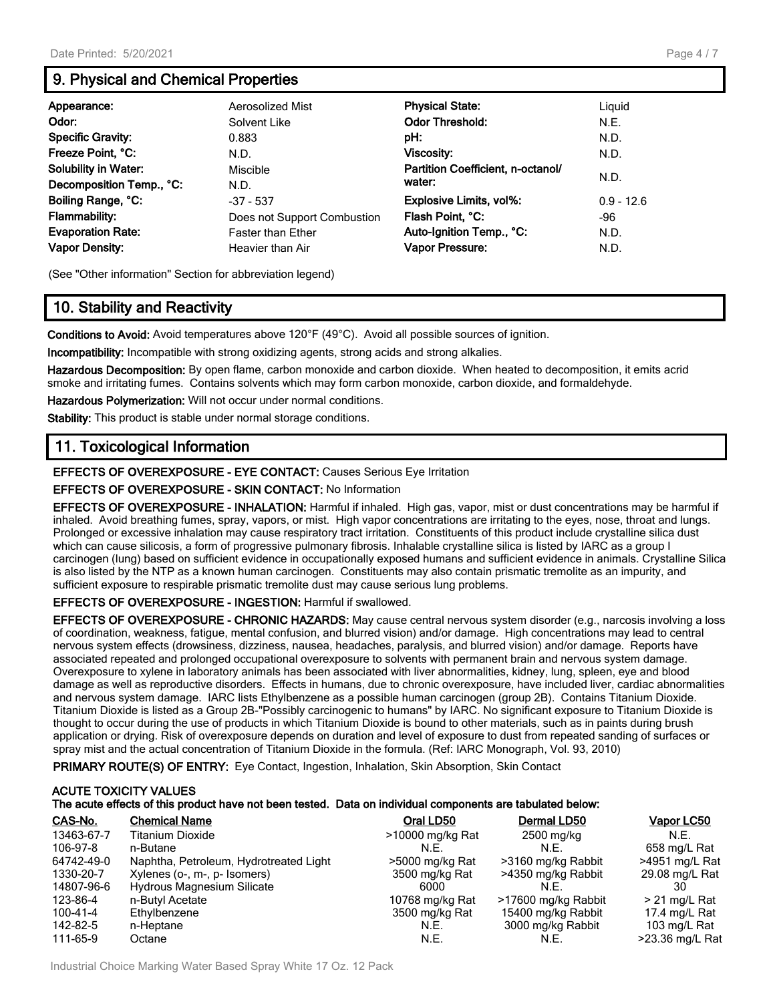### **9. Physical and Chemical Properties**

| Appearance:                 | Aerosolized Mist            | <b>Physical State:</b>            | Liguid       |
|-----------------------------|-----------------------------|-----------------------------------|--------------|
| Odor:                       | Solvent Like                | <b>Odor Threshold:</b>            | N.E.         |
| <b>Specific Gravity:</b>    | 0.883                       | pH:                               | N.D.         |
| Freeze Point, °C:           | N.D.                        | Viscosity:                        | N.D.         |
| <b>Solubility in Water:</b> | Miscible                    | Partition Coefficient, n-octanol/ |              |
| Decomposition Temp., °C:    | N.D.                        | water:                            | N.D.         |
| Boiling Range, °C:          | $-37 - 537$                 | Explosive Limits, vol%:           | $0.9 - 12.6$ |
| <b>Flammability:</b>        | Does not Support Combustion | Flash Point, °C:                  | -96          |
| <b>Evaporation Rate:</b>    | <b>Faster than Ether</b>    | Auto-Ignition Temp., °C:          | N.D.         |
| <b>Vapor Density:</b>       | Heavier than Air            | <b>Vapor Pressure:</b>            | N.D.         |

(See "Other information" Section for abbreviation legend)

### **10. Stability and Reactivity**

**Conditions to Avoid:** Avoid temperatures above 120°F (49°C). Avoid all possible sources of ignition.

**Incompatibility:** Incompatible with strong oxidizing agents, strong acids and strong alkalies.

**Hazardous Decomposition:** By open flame, carbon monoxide and carbon dioxide. When heated to decomposition, it emits acrid smoke and irritating fumes. Contains solvents which may form carbon monoxide, carbon dioxide, and formaldehyde.

**Hazardous Polymerization:** Will not occur under normal conditions.

**Stability:** This product is stable under normal storage conditions.

### **11. Toxicological Information**

#### **EFFECTS OF OVEREXPOSURE - EYE CONTACT:** Causes Serious Eye Irritation

#### **EFFECTS OF OVEREXPOSURE - SKIN CONTACT:** No Information

**EFFECTS OF OVEREXPOSURE - INHALATION:** Harmful if inhaled. High gas, vapor, mist or dust concentrations may be harmful if inhaled. Avoid breathing fumes, spray, vapors, or mist. High vapor concentrations are irritating to the eyes, nose, throat and lungs. Prolonged or excessive inhalation may cause respiratory tract irritation. Constituents of this product include crystalline silica dust which can cause silicosis, a form of progressive pulmonary fibrosis. Inhalable crystalline silica is listed by IARC as a group I carcinogen (lung) based on sufficient evidence in occupationally exposed humans and sufficient evidence in animals. Crystalline Silica is also listed by the NTP as a known human carcinogen. Constituents may also contain prismatic tremolite as an impurity, and sufficient exposure to respirable prismatic tremolite dust may cause serious lung problems.

#### **EFFECTS OF OVEREXPOSURE - INGESTION:** Harmful if swallowed.

**EFFECTS OF OVEREXPOSURE - CHRONIC HAZARDS:** May cause central nervous system disorder (e.g., narcosis involving a loss of coordination, weakness, fatigue, mental confusion, and blurred vision) and/or damage. High concentrations may lead to central nervous system effects (drowsiness, dizziness, nausea, headaches, paralysis, and blurred vision) and/or damage. Reports have associated repeated and prolonged occupational overexposure to solvents with permanent brain and nervous system damage. Overexposure to xylene in laboratory animals has been associated with liver abnormalities, kidney, lung, spleen, eye and blood damage as well as reproductive disorders. Effects in humans, due to chronic overexposure, have included liver, cardiac abnormalities and nervous system damage. IARC lists Ethylbenzene as a possible human carcinogen (group 2B). Contains Titanium Dioxide. Titanium Dioxide is listed as a Group 2B-"Possibly carcinogenic to humans" by IARC. No significant exposure to Titanium Dioxide is thought to occur during the use of products in which Titanium Dioxide is bound to other materials, such as in paints during brush application or drying. Risk of overexposure depends on duration and level of exposure to dust from repeated sanding of surfaces or spray mist and the actual concentration of Titanium Dioxide in the formula. (Ref: IARC Monograph, Vol. 93, 2010)

**PRIMARY ROUTE(S) OF ENTRY:** Eye Contact, Ingestion, Inhalation, Skin Absorption, Skin Contact

#### **ACUTE TOXICITY VALUES The acute effects of this product have not been tested. Data on individual components are tabulated below:**

| CAS-No.        | <b>Chemical Name</b>                   | Oral LD50        | Dermal LD50         | Vapor LC50      |
|----------------|----------------------------------------|------------------|---------------------|-----------------|
| 13463-67-7     | <b>Titanium Dioxide</b>                | >10000 mg/kg Rat | 2500 mg/kg          | N.E.            |
| 106-97-8       | n-Butane                               | N.E.             | N.E.                | 658 mg/L Rat    |
| 64742-49-0     | Naphtha, Petroleum, Hydrotreated Light | >5000 mg/kg Rat  | >3160 mg/kg Rabbit  | >4951 mg/L Rat  |
| 1330-20-7      | Xylenes (o-, m-, p- Isomers)           | 3500 mg/kg Rat   | >4350 mg/kg Rabbit  | 29.08 mg/L Rat  |
| 14807-96-6     | Hydrous Magnesium Silicate             | 6000             | N.E.                |                 |
| 123-86-4       | n-Butyl Acetate                        | 10768 mg/kg Rat  | >17600 mg/kg Rabbit | $> 21$ ma/L Rat |
| $100 - 41 - 4$ | Ethylbenzene                           | 3500 mg/kg Rat   | 15400 mg/kg Rabbit  | 17.4 mg/L Rat   |
| 142-82-5       | n-Heptane                              | N.E.             | 3000 mg/kg Rabbit   | 103 mg/L Rat    |
| 111-65-9       | Octane                                 | N.E.             | N.E.                | >23.36 mg/L Rat |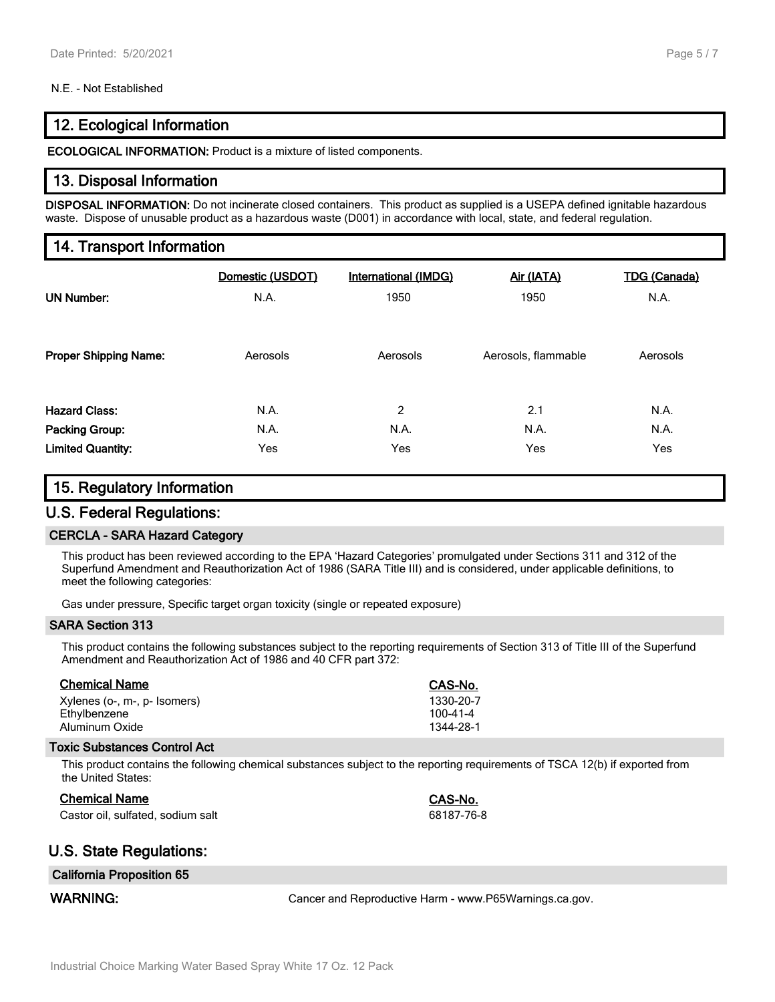#### N.E. - Not Established

### **12. Ecological Information**

**ECOLOGICAL INFORMATION:** Product is a mixture of listed components.

#### **13. Disposal Information**

**DISPOSAL INFORMATION:** Do not incinerate closed containers. This product as supplied is a USEPA defined ignitable hazardous waste. Dispose of unusable product as a hazardous waste (D001) in accordance with local, state, and federal regulation.

### **14. Transport Information**

| <b>UN Number:</b>            | Domestic (USDOT) | International (IMDG) | Air (IATA)          | <b>TDG (Canada)</b> |
|------------------------------|------------------|----------------------|---------------------|---------------------|
|                              | N.A.             | 1950                 | 1950                | N.A.                |
| <b>Proper Shipping Name:</b> | Aerosols         | Aerosols             | Aerosols, flammable | Aerosols            |
| <b>Hazard Class:</b>         | N.A.             | 2                    | 2.1                 | N.A.                |
| <b>Packing Group:</b>        | N.A.             | N.A.                 | N.A.                | N.A.                |
| <b>Limited Quantity:</b>     | Yes              | Yes                  | Yes                 | Yes                 |

### **15. Regulatory Information**

#### **U.S. Federal Regulations:**

#### **CERCLA - SARA Hazard Category**

This product has been reviewed according to the EPA 'Hazard Categories' promulgated under Sections 311 and 312 of the Superfund Amendment and Reauthorization Act of 1986 (SARA Title III) and is considered, under applicable definitions, to meet the following categories:

Gas under pressure, Specific target organ toxicity (single or repeated exposure)

#### **SARA Section 313**

This product contains the following substances subject to the reporting requirements of Section 313 of Title III of the Superfund Amendment and Reauthorization Act of 1986 and 40 CFR part 372:

| <b>Chemical Name</b>         | CAS-No.   |
|------------------------------|-----------|
| Xylenes (o-, m-, p- Isomers) | 1330-20-7 |
| Ethylbenzene                 | 100-41-4  |
| Aluminum Oxide               | 1344-28-1 |

#### **Toxic Substances Control Act**

This product contains the following chemical substances subject to the reporting requirements of TSCA 12(b) if exported from the United States:

| <b>Chemical Name</b>              | CAS-No.    |
|-----------------------------------|------------|
| Castor oil, sulfated, sodium salt | 68187-76-8 |

### **U.S. State Regulations:**

#### **California Proposition 65**

**WARNING:** Cancer and Reproductive Harm - www.P65Warnings.ca.gov.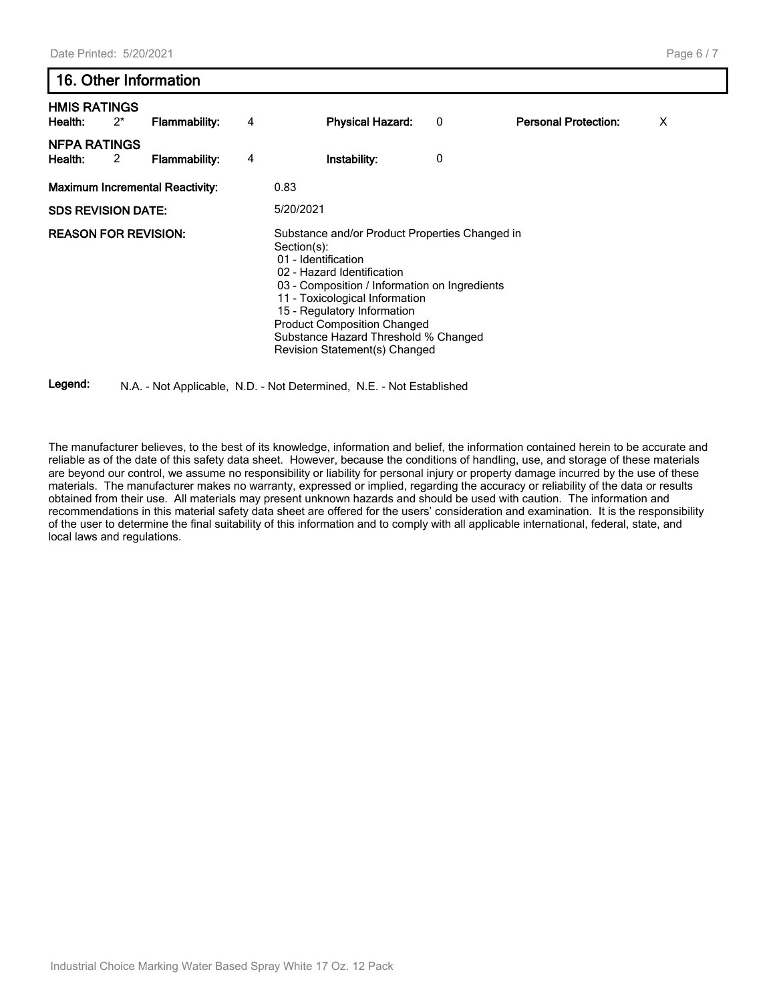#### Page 6 / 7

### **16. Other Information**

| <b>HMIS RATINGS</b><br>Health:                           | $2^*$ | <b>Flammability:</b>                   | 4                                                                                                                                                                                                                                                                                                                                                   | <b>Physical Hazard:</b>                                              | 0 | <b>Personal Protection:</b> | X |
|----------------------------------------------------------|-------|----------------------------------------|-----------------------------------------------------------------------------------------------------------------------------------------------------------------------------------------------------------------------------------------------------------------------------------------------------------------------------------------------------|----------------------------------------------------------------------|---|-----------------------------|---|
| <b>NFPA RATINGS</b><br>Health:                           | 2     | Flammability:                          | 4                                                                                                                                                                                                                                                                                                                                                   | Instability:                                                         | 0 |                             |   |
|                                                          |       | <b>Maximum Incremental Reactivity:</b> |                                                                                                                                                                                                                                                                                                                                                     | 0.83                                                                 |   |                             |   |
|                                                          |       |                                        |                                                                                                                                                                                                                                                                                                                                                     | 5/20/2021                                                            |   |                             |   |
| <b>SDS REVISION DATE:</b><br><b>REASON FOR REVISION:</b> |       |                                        | Substance and/or Product Properties Changed in<br>Section(s):<br>01 - Identification<br>02 - Hazard Identification<br>03 - Composition / Information on Ingredients<br>11 - Toxicological Information<br>15 - Regulatory Information<br><b>Product Composition Changed</b><br>Substance Hazard Threshold % Changed<br>Revision Statement(s) Changed |                                                                      |   |                             |   |
| Legend:                                                  |       |                                        |                                                                                                                                                                                                                                                                                                                                                     | N.A. - Not Applicable, N.D. - Not Determined, N.E. - Not Established |   |                             |   |

The manufacturer believes, to the best of its knowledge, information and belief, the information contained herein to be accurate and reliable as of the date of this safety data sheet. However, because the conditions of handling, use, and storage of these materials are beyond our control, we assume no responsibility or liability for personal injury or property damage incurred by the use of these materials. The manufacturer makes no warranty, expressed or implied, regarding the accuracy or reliability of the data or results obtained from their use. All materials may present unknown hazards and should be used with caution. The information and recommendations in this material safety data sheet are offered for the users' consideration and examination. It is the responsibility of the user to determine the final suitability of this information and to comply with all applicable international, federal, state, and local laws and regulations.